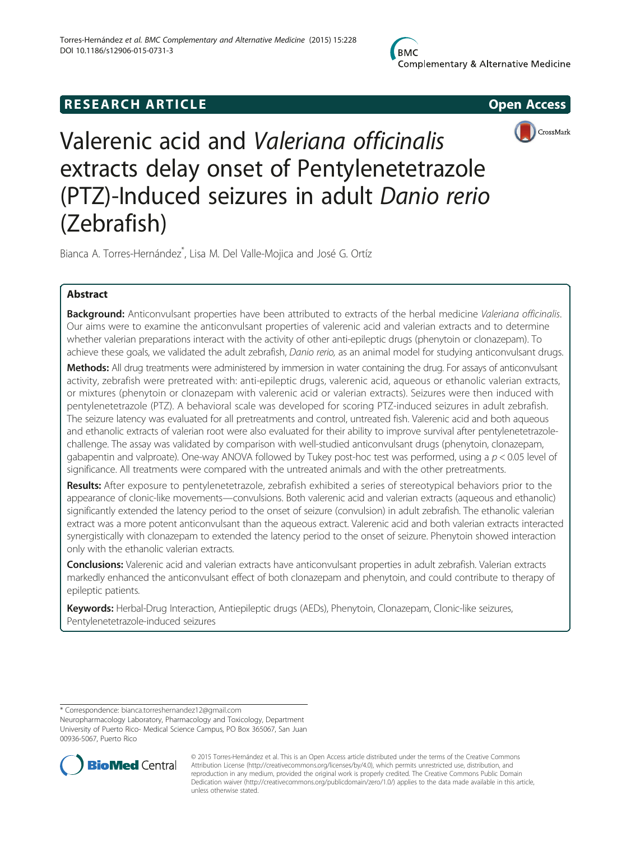# **RESEARCH ARTICLE CONSUMING A RESEARCH ARTICLE**





Valerenic acid and Valeriana officinalis extracts delay onset of Pentylenetetrazole (PTZ)-Induced seizures in adult Danio rerio (Zebrafish)

Bianca A. Torres-Hernández<sup>\*</sup>, Lisa M. Del Valle-Mojica and José G. Ortíz

# Abstract

Background: Anticonvulsant properties have been attributed to extracts of the herbal medicine Valeriana officinalis. Our aims were to examine the anticonvulsant properties of valerenic acid and valerian extracts and to determine whether valerian preparations interact with the activity of other anti-epileptic drugs (phenytoin or clonazepam). To achieve these goals, we validated the adult zebrafish, Danio rerio, as an animal model for studying anticonvulsant drugs.

Methods: All drug treatments were administered by immersion in water containing the drug. For assays of anticonvulsant activity, zebrafish were pretreated with: anti-epileptic drugs, valerenic acid, aqueous or ethanolic valerian extracts, or mixtures (phenytoin or clonazepam with valerenic acid or valerian extracts). Seizures were then induced with pentylenetetrazole (PTZ). A behavioral scale was developed for scoring PTZ-induced seizures in adult zebrafish. The seizure latency was evaluated for all pretreatments and control, untreated fish. Valerenic acid and both aqueous and ethanolic extracts of valerian root were also evaluated for their ability to improve survival after pentylenetetrazolechallenge. The assay was validated by comparison with well-studied anticonvulsant drugs (phenytoin, clonazepam, gabapentin and valproate). One-way ANOVA followed by Tukey post-hoc test was performed, using a  $p < 0.05$  level of significance. All treatments were compared with the untreated animals and with the other pretreatments.

Results: After exposure to pentylenetetrazole, zebrafish exhibited a series of stereotypical behaviors prior to the appearance of clonic-like movements—convulsions. Both valerenic acid and valerian extracts (aqueous and ethanolic) significantly extended the latency period to the onset of seizure (convulsion) in adult zebrafish. The ethanolic valerian extract was a more potent anticonvulsant than the aqueous extract. Valerenic acid and both valerian extracts interacted synergistically with clonazepam to extended the latency period to the onset of seizure. Phenytoin showed interaction only with the ethanolic valerian extracts.

Conclusions: Valerenic acid and valerian extracts have anticonvulsant properties in adult zebrafish. Valerian extracts markedly enhanced the anticonvulsant effect of both clonazepam and phenytoin, and could contribute to therapy of epileptic patients.

Keywords: Herbal-Drug Interaction, Antiepileptic drugs (AEDs), Phenytoin, Clonazepam, Clonic-like seizures, Pentylenetetrazole-induced seizures

\* Correspondence: [bianca.torreshernandez12@gmail.com](mailto:bianca.torreshernandez12@gmail.com)

Neuropharmacology Laboratory, Pharmacology and Toxicology, Department University of Puerto Rico- Medical Science Campus, PO Box 365067, San Juan 00936-5067, Puerto Rico



© 2015 Torres-Hernández et al. This is an Open Access article distributed under the terms of the Creative Commons Attribution License (<http://creativecommons.org/licenses/by/4.0>), which permits unrestricted use, distribution, and reproduction in any medium, provided the original work is properly credited. The Creative Commons Public Domain Dedication waiver [\(http://creativecommons.org/publicdomain/zero/1.0/](http://creativecommons.org/publicdomain/zero/1.0/)) applies to the data made available in this article, unless otherwise stated.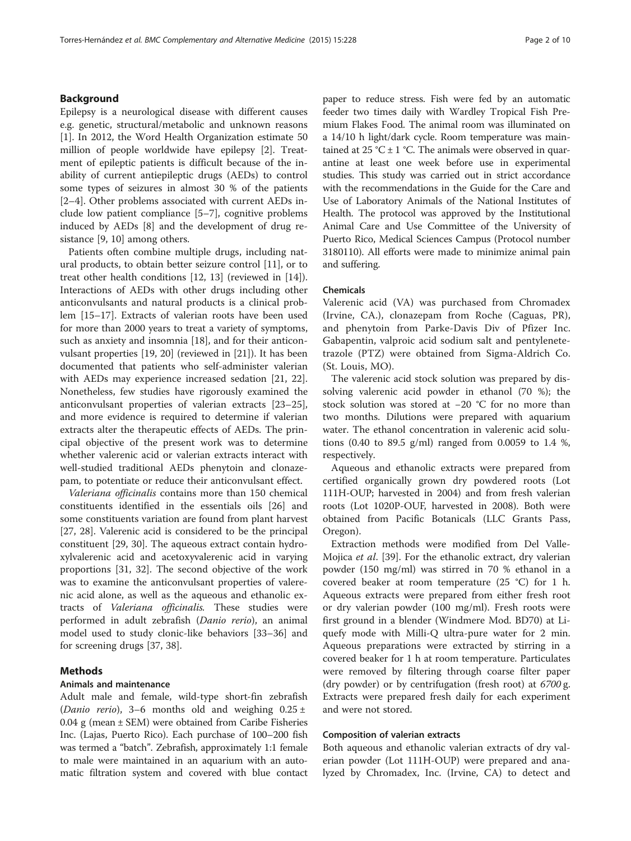# Background

Epilepsy is a neurological disease with different causes e.g. genetic, structural/metabolic and unknown reasons [[1\]](#page-8-0). In 2012, the Word Health Organization estimate 50 million of people worldwide have epilepsy [\[2](#page-8-0)]. Treatment of epileptic patients is difficult because of the inability of current antiepileptic drugs (AEDs) to control some types of seizures in almost 30 % of the patients [[2](#page-8-0)–[4\]](#page-8-0). Other problems associated with current AEDs include low patient compliance [[5](#page-8-0)–[7\]](#page-8-0), cognitive problems induced by AEDs [[8\]](#page-8-0) and the development of drug resistance [[9, 10\]](#page-8-0) among others.

Patients often combine multiple drugs, including natural products, to obtain better seizure control [\[11\]](#page-8-0), or to treat other health conditions [[12](#page-8-0), [13\]](#page-8-0) (reviewed in [\[14](#page-8-0)]). Interactions of AEDs with other drugs including other anticonvulsants and natural products is a clinical problem [\[15](#page-8-0)–[17\]](#page-8-0). Extracts of valerian roots have been used for more than 2000 years to treat a variety of symptoms, such as anxiety and insomnia [[18](#page-8-0)], and for their anticonvulsant properties [\[19](#page-8-0), [20](#page-8-0)] (reviewed in [[21\]](#page-8-0)). It has been documented that patients who self-administer valerian with AEDs may experience increased sedation [\[21](#page-8-0), [22](#page-8-0)]. Nonetheless, few studies have rigorously examined the anticonvulsant properties of valerian extracts [[23](#page-8-0)–[25](#page-8-0)], and more evidence is required to determine if valerian extracts alter the therapeutic effects of AEDs. The principal objective of the present work was to determine whether valerenic acid or valerian extracts interact with well-studied traditional AEDs phenytoin and clonazepam, to potentiate or reduce their anticonvulsant effect.

Valeriana officinalis contains more than 150 chemical constituents identified in the essentials oils [[26](#page-8-0)] and some constituents variation are found from plant harvest [[27, 28](#page-8-0)]. Valerenic acid is considered to be the principal constituent [[29, 30\]](#page-8-0). The aqueous extract contain hydroxylvalerenic acid and acetoxyvalerenic acid in varying proportions [\[31, 32](#page-8-0)]. The second objective of the work was to examine the anticonvulsant properties of valerenic acid alone, as well as the aqueous and ethanolic extracts of Valeriana officinalis. These studies were performed in adult zebrafish (Danio rerio), an animal model used to study clonic-like behaviors [\[33](#page-8-0)–[36\]](#page-8-0) and for screening drugs [[37, 38\]](#page-8-0).

# Methods

# Animals and maintenance

Adult male and female, wild-type short-fin zebrafish (*Danio rerio*), 3–6 months old and weighing  $0.25 \pm$ 0.04 g (mean  $\pm$  SEM) were obtained from Caribe Fisheries Inc. (Lajas, Puerto Rico). Each purchase of 100–200 fish was termed a "batch". Zebrafish, approximately 1:1 female to male were maintained in an aquarium with an automatic filtration system and covered with blue contact

paper to reduce stress. Fish were fed by an automatic feeder two times daily with Wardley Tropical Fish Premium Flakes Food. The animal room was illuminated on a 14/10 h light/dark cycle. Room temperature was maintained at 25 °C  $\pm$  1 °C. The animals were observed in quarantine at least one week before use in experimental studies. This study was carried out in strict accordance with the recommendations in the Guide for the Care and Use of Laboratory Animals of the National Institutes of Health. The protocol was approved by the Institutional Animal Care and Use Committee of the University of Puerto Rico, Medical Sciences Campus (Protocol number 3180110). All efforts were made to minimize animal pain and suffering.

# **Chemicals**

Valerenic acid (VA) was purchased from Chromadex (Irvine, CA.), clonazepam from Roche (Caguas, PR), and phenytoin from Parke-Davis Div of Pfizer Inc. Gabapentin, valproic acid sodium salt and pentylenetetrazole (PTZ) were obtained from Sigma-Aldrich Co. (St. Louis, MO).

The valerenic acid stock solution was prepared by dissolving valerenic acid powder in ethanol (70 %); the stock solution was stored at −20 °C for no more than two months. Dilutions were prepared with aquarium water. The ethanol concentration in valerenic acid solutions (0.40 to 89.5 g/ml) ranged from 0.0059 to 1.4 %, respectively.

Aqueous and ethanolic extracts were prepared from certified organically grown dry powdered roots (Lot 111H-OUP; harvested in 2004) and from fresh valerian roots (Lot 1020P-OUF, harvested in 2008). Both were obtained from Pacific Botanicals (LLC Grants Pass, Oregon).

Extraction methods were modified from Del Valle-Mojica *et al.* [[39](#page-8-0)]. For the ethanolic extract, dry valerian powder (150 mg/ml) was stirred in 70 % ethanol in a covered beaker at room temperature (25 °C) for 1 h. Aqueous extracts were prepared from either fresh root or dry valerian powder (100 mg/ml). Fresh roots were first ground in a blender (Windmere Mod. BD70) at Liquefy mode with Milli-Q ultra-pure water for 2 min. Aqueous preparations were extracted by stirring in a covered beaker for 1 h at room temperature. Particulates were removed by filtering through coarse filter paper (dry powder) or by centrifugation (fresh root) at 6700 g. Extracts were prepared fresh daily for each experiment and were not stored.

# Composition of valerian extracts

Both aqueous and ethanolic valerian extracts of dry valerian powder (Lot 111H-OUP) were prepared and analyzed by Chromadex, Inc. (Irvine, CA) to detect and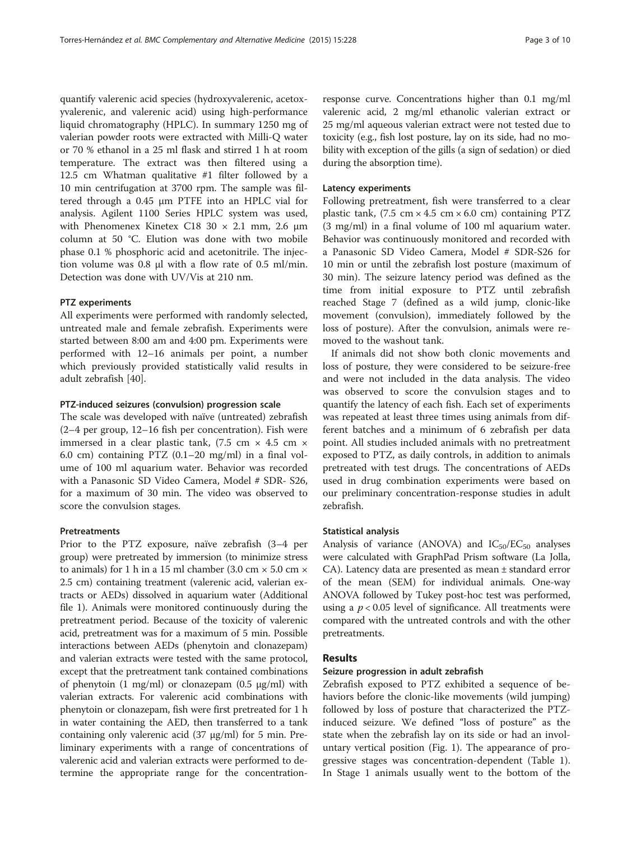quantify valerenic acid species (hydroxyvalerenic, acetoxyvalerenic, and valerenic acid) using high-performance liquid chromatography (HPLC). In summary 1250 mg of valerian powder roots were extracted with Milli-Q water or 70 % ethanol in a 25 ml flask and stirred 1 h at room temperature. The extract was then filtered using a 12.5 cm Whatman qualitative #1 filter followed by a 10 min centrifugation at 3700 rpm. The sample was filtered through a 0.45 μm PTFE into an HPLC vial for analysis. Agilent 1100 Series HPLC system was used, with Phenomenex Kinetex C18 30  $\times$  2.1 mm, 2.6  $\mu$ m column at 50 °C. Elution was done with two mobile phase 0.1 % phosphoric acid and acetonitrile. The injection volume was 0.8 μl with a flow rate of 0.5 ml/min. Detection was done with UV/Vis at 210 nm.

# PTZ experiments

All experiments were performed with randomly selected, untreated male and female zebrafish. Experiments were started between 8:00 am and 4:00 pm. Experiments were performed with 12–16 animals per point, a number which previously provided statistically valid results in adult zebrafish [[40\]](#page-8-0).

# PTZ-induced seizures (convulsion) progression scale

The scale was developed with naïve (untreated) zebrafish (2–4 per group, 12–16 fish per concentration). Fish were immersed in a clear plastic tank,  $(7.5 \text{ cm} \times 4.5 \text{ cm} \times$ 6.0 cm) containing PTZ (0.1–20 mg/ml) in a final volume of 100 ml aquarium water. Behavior was recorded with a Panasonic SD Video Camera, Model # SDR- S26, for a maximum of 30 min. The video was observed to score the convulsion stages.

### Pretreatments

Prior to the PTZ exposure, naïve zebrafish (3–4 per group) were pretreated by immersion (to minimize stress to animals) for 1 h in a 15 ml chamber (3.0 cm  $\times$  5.0 cm  $\times$ 2.5 cm) containing treatment (valerenic acid, valerian extracts or AEDs) dissolved in aquarium water (Additional file [1](#page-7-0)). Animals were monitored continuously during the pretreatment period. Because of the toxicity of valerenic acid, pretreatment was for a maximum of 5 min. Possible interactions between AEDs (phenytoin and clonazepam) and valerian extracts were tested with the same protocol, except that the pretreatment tank contained combinations of phenytoin (1 mg/ml) or clonazepam (0.5 μg/ml) with valerian extracts. For valerenic acid combinations with phenytoin or clonazepam, fish were first pretreated for 1 h in water containing the AED, then transferred to a tank containing only valerenic acid (37 μg/ml) for 5 min. Preliminary experiments with a range of concentrations of valerenic acid and valerian extracts were performed to determine the appropriate range for the concentration-

response curve. Concentrations higher than 0.1 mg/ml valerenic acid, 2 mg/ml ethanolic valerian extract or 25 mg/ml aqueous valerian extract were not tested due to toxicity (e.g., fish lost posture, lay on its side, had no mobility with exception of the gills (a sign of sedation) or died during the absorption time).

## Latency experiments

Following pretreatment, fish were transferred to a clear plastic tank, (7.5 cm  $\times$  4.5 cm  $\times$  6.0 cm) containing PTZ (3 mg/ml) in a final volume of 100 ml aquarium water. Behavior was continuously monitored and recorded with a Panasonic SD Video Camera, Model # SDR-S26 for 10 min or until the zebrafish lost posture (maximum of 30 min). The seizure latency period was defined as the time from initial exposure to PTZ until zebrafish reached Stage 7 (defined as a wild jump, clonic-like movement (convulsion), immediately followed by the loss of posture). After the convulsion, animals were removed to the washout tank.

If animals did not show both clonic movements and loss of posture, they were considered to be seizure-free and were not included in the data analysis. The video was observed to score the convulsion stages and to quantify the latency of each fish. Each set of experiments was repeated at least three times using animals from different batches and a minimum of 6 zebrafish per data point. All studies included animals with no pretreatment exposed to PTZ, as daily controls, in addition to animals pretreated with test drugs. The concentrations of AEDs used in drug combination experiments were based on our preliminary concentration-response studies in adult zebrafish.

### Statistical analysis

Analysis of variance (ANOVA) and  $IC_{50}/EC_{50}$  analyses were calculated with GraphPad Prism software (La Jolla, CA). Latency data are presented as mean ± standard error of the mean (SEM) for individual animals. One-way ANOVA followed by Tukey post-hoc test was performed, using a  $p < 0.05$  level of significance. All treatments were compared with the untreated controls and with the other pretreatments.

# Results

### Seizure progression in adult zebrafish

Zebrafish exposed to PTZ exhibited a sequence of behaviors before the clonic-like movements (wild jumping) followed by loss of posture that characterized the PTZinduced seizure. We defined "loss of posture" as the state when the zebrafish lay on its side or had an involuntary vertical position (Fig. [1\)](#page-3-0). The appearance of progressive stages was concentration-dependent (Table [1](#page-3-0)). In Stage 1 animals usually went to the bottom of the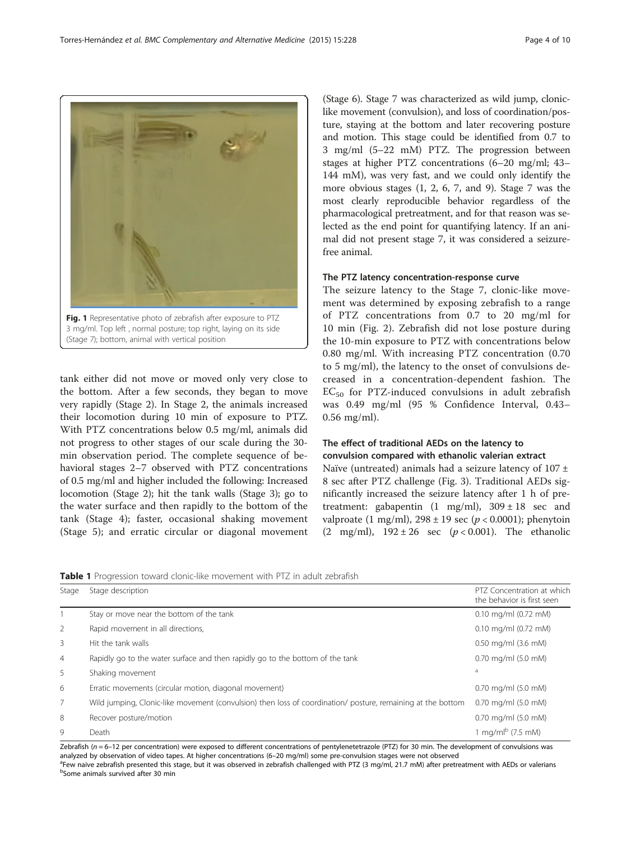tank either did not move or moved only very close to the bottom. After a few seconds, they began to move very rapidly (Stage 2). In Stage 2, the animals increased their locomotion during 10 min of exposure to PTZ. With PTZ concentrations below 0.5 mg/ml, animals did not progress to other stages of our scale during the 30 min observation period. The complete sequence of behavioral stages 2–7 observed with PTZ concentrations of 0.5 mg/ml and higher included the following: Increased locomotion (Stage 2); hit the tank walls (Stage 3); go to the water surface and then rapidly to the bottom of the tank (Stage 4); faster, occasional shaking movement (Stage 5); and erratic circular or diagonal movement

(Stage 6). Stage 7 was characterized as wild jump, cloniclike movement (convulsion), and loss of coordination/posture, staying at the bottom and later recovering posture and motion. This stage could be identified from 0.7 to 3 mg/ml (5–22 mM) PTZ. The progression between stages at higher PTZ concentrations (6–20 mg/ml; 43– 144 mM), was very fast, and we could only identify the more obvious stages (1, 2, 6, 7, and 9). Stage 7 was the most clearly reproducible behavior regardless of the pharmacological pretreatment, and for that reason was selected as the end point for quantifying latency. If an animal did not present stage 7, it was considered a seizurefree animal.

## The PTZ latency concentration-response curve

The seizure latency to the Stage 7, clonic-like movement was determined by exposing zebrafish to a range of PTZ concentrations from 0.7 to 20 mg/ml for 10 min (Fig. [2\)](#page-4-0). Zebrafish did not lose posture during the 10-min exposure to PTZ with concentrations below 0.80 mg/ml. With increasing PTZ concentration (0.70 to 5 mg/ml), the latency to the onset of convulsions decreased in a concentration-dependent fashion. The  $EC_{50}$  for PTZ-induced convulsions in adult zebrafish was 0.49 mg/ml (95 % Confidence Interval, 0.43– 0.56 mg/ml).

# The effect of traditional AEDs on the latency to convulsion compared with ethanolic valerian extract

Naïve (untreated) animals had a seizure latency of  $107 \pm$ 8 sec after PTZ challenge (Fig. [3\)](#page-4-0). Traditional AEDs significantly increased the seizure latency after 1 h of pretreatment: gabapentin  $(1 \text{ mg/ml})$ ,  $309 \pm 18$  sec and valproate (1 mg/ml),  $298 \pm 19$  sec ( $p < 0.0001$ ); phenytoin (2 mg/ml),  $192 \pm 26$  sec ( $p < 0.001$ ). The ethanolic

the behavior is first seen

Table 1 Progression toward clonic-like movement with PTZ in adult zebrafish

| Zebrafish ( $n = 6-12$ per concentration) were exposed to different concentrations of pentylenetetrazole (PTZ) for 30 min. The development of convulsions was<br>analyzed by observation of video tapes. At higher concentrations (6–20 mg/ml) some pre-convulsion stages were not observed<br><sup>a</sup> Few naive zebrafish presented this stage, but it was observed in zebrafish challenged with PTZ (3 mg/ml, 21.7 mM) after pretreatment with AEDs or valerians |                                                                                                             |                             |
|-------------------------------------------------------------------------------------------------------------------------------------------------------------------------------------------------------------------------------------------------------------------------------------------------------------------------------------------------------------------------------------------------------------------------------------------------------------------------|-------------------------------------------------------------------------------------------------------------|-----------------------------|
| 9                                                                                                                                                                                                                                                                                                                                                                                                                                                                       | Death                                                                                                       | mg/ml <sup>b</sup> (7.5 mM) |
| 8                                                                                                                                                                                                                                                                                                                                                                                                                                                                       | Recover posture/motion                                                                                      | $0.70$ mg/ml $(5.0$ mM)     |
| 7                                                                                                                                                                                                                                                                                                                                                                                                                                                                       | Wild jumping, Clonic-like movement (convulsion) then loss of coordination/ posture, remaining at the bottom | $0.70$ mg/ml $(5.0$ mM)     |
| 6                                                                                                                                                                                                                                                                                                                                                                                                                                                                       | Erratic movements (circular motion, diagonal movement)                                                      | $0.70$ mg/ml $(5.0$ mM)     |
| $\overline{z}$                                                                                                                                                                                                                                                                                                                                                                                                                                                          | Shaking movement                                                                                            | a                           |
| $\overline{4}$                                                                                                                                                                                                                                                                                                                                                                                                                                                          | Rapidly go to the water surface and then rapidly go to the bottom of the tank                               | $0.70$ mg/ml $(5.0$ mM)     |
|                                                                                                                                                                                                                                                                                                                                                                                                                                                                         | Hit the tank walls                                                                                          | $0.50$ mg/ml $(3.6$ mM)     |

Stage Stage description contration at which contration at which provide the extra stage of the extra stage of the extra stage of the extra stage of the extra stage of the extra stage of the extra stage of the extra stage o

1 Stay or move near the bottom of the tank 0.10 mg/ml (0.72 mM) 2 Rapid movement in all directions, 0.10 mg/ml (0.72 mM)

<sup>a</sup>Few naive zebrafish presented this stage, but it was observed in zebrafish challenged with PTZ (3 mg/ml, 21.7 mM) after pretreatment with AEDs or valerians<br><sup>b</sup>Some animals survived after 30 min

<span id="page-3-0"></span>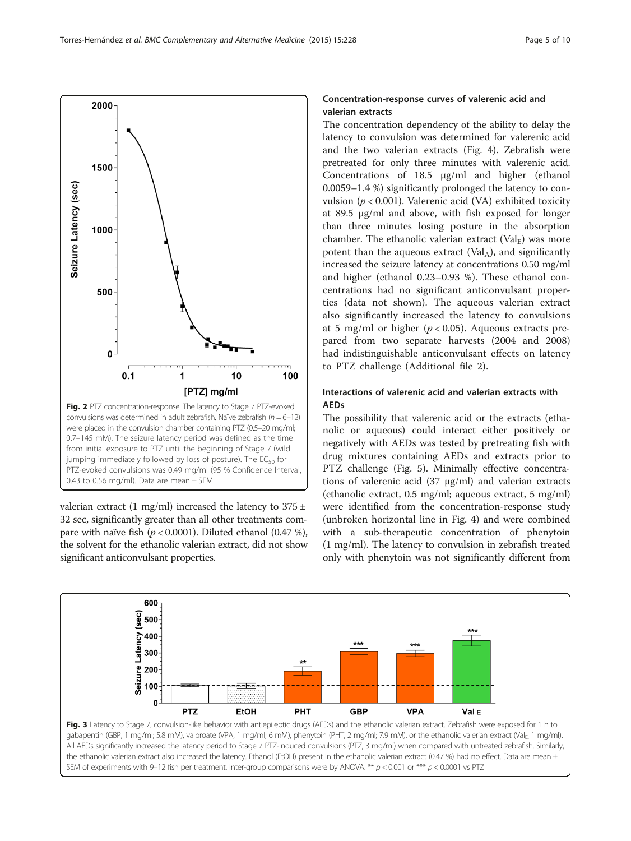<span id="page-4-0"></span>

valerian extract (1 mg/ml) increased the latency to  $375 \pm$ 32 sec, significantly greater than all other treatments compare with naïve fish ( $p < 0.0001$ ). Diluted ethanol (0.47 %), the solvent for the ethanolic valerian extract, did not show significant anticonvulsant properties.

# Concentration-response curves of valerenic acid and valerian extracts

The concentration dependency of the ability to delay the latency to convulsion was determined for valerenic acid and the two valerian extracts (Fig. [4](#page-5-0)). Zebrafish were pretreated for only three minutes with valerenic acid. Concentrations of 18.5 μg/ml and higher (ethanol 0.0059–1.4 %) significantly prolonged the latency to convulsion ( $p < 0.001$ ). Valerenic acid (VA) exhibited toxicity at 89.5 μg/ml and above, with fish exposed for longer than three minutes losing posture in the absorption chamber. The ethanolic valerian extract  $(Val<sub>F</sub>)$  was more potent than the aqueous extract  $(Val<sub>A</sub>)$ , and significantly increased the seizure latency at concentrations 0.50 mg/ml and higher (ethanol 0.23–0.93 %). These ethanol concentrations had no significant anticonvulsant properties (data not shown). The aqueous valerian extract also significantly increased the latency to convulsions at 5 mg/ml or higher ( $p < 0.05$ ). Aqueous extracts prepared from two separate harvests (2004 and 2008) had indistinguishable anticonvulsant effects on latency to PTZ challenge (Additional file [2\)](#page-7-0).

# Interactions of valerenic acid and valerian extracts with AEDs

The possibility that valerenic acid or the extracts (ethanolic or aqueous) could interact either positively or negatively with AEDs was tested by pretreating fish with drug mixtures containing AEDs and extracts prior to PTZ challenge (Fig. [5\)](#page-5-0). Minimally effective concentrations of valerenic acid (37 μg/ml) and valerian extracts (ethanolic extract, 0.5 mg/ml; aqueous extract, 5 mg/ml) were identified from the concentration-response study (unbroken horizontal line in Fig. [4\)](#page-5-0) and were combined with a sub-therapeutic concentration of phenytoin (1 mg/ml). The latency to convulsion in zebrafish treated only with phenytoin was not significantly different from

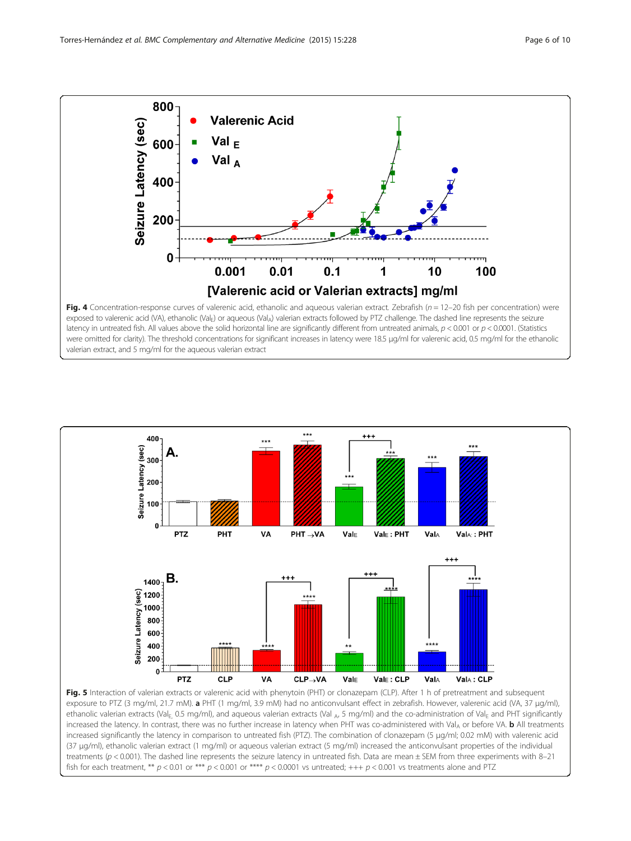<span id="page-5-0"></span>

exposed to valerenic acid (VA), ethanolic (Val<sub>E</sub>) or aqueous (Val<sub>A</sub>) valerian extracts followed by PTZ challenge. The dashed line represents the seizure latency in untreated fish. All values above the solid horizontal line are significantly different from untreated animals,  $p < 0.001$  or  $p < 0.0001$ . (Statistics were omitted for clarity). The threshold concentrations for significant increases in latency were 18.5 μg/ml for valerenic acid, 0.5 mg/ml for the ethanolic valerian extract, and 5 mg/ml for the aqueous valerian extract



increased the latency. In contrast, there was no further increase in latency when PHT was co-administered with Val<sub>A</sub> or before VA. **b** All treatments increased significantly the latency in comparison to untreated fish (PTZ). The combination of clonazepam (5 μg/ml; 0.02 mM) with valerenic acid (37 μg/ml), ethanolic valerian extract (1 mg/ml) or aqueous valerian extract (5 mg/ml) increased the anticonvulsant properties of the individual treatments (p < 0.001). The dashed line represents the seizure latency in untreated fish. Data are mean ± SEM from three experiments with 8-21 fish for each treatment, \*\*  $p < 0.01$  or \*\*\*  $p < 0.001$  or \*\*\*\*  $p < 0.0001$  vs untreated; +++  $p < 0.001$  vs treatments alone and PTZ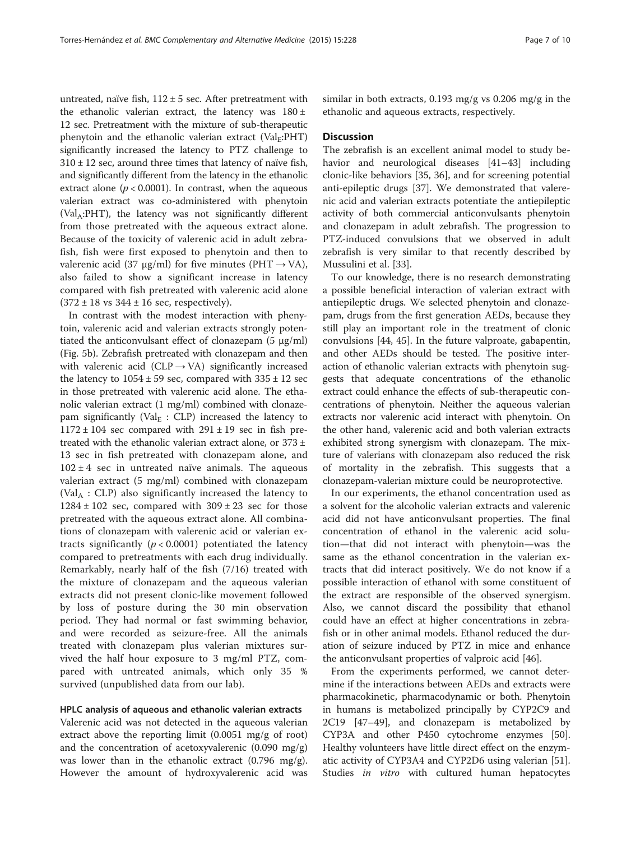untreated, naïve fish,  $112 \pm 5$  sec. After pretreatment with the ethanolic valerian extract, the latency was  $180 \pm$ 12 sec. Pretreatment with the mixture of sub-therapeutic phenytoin and the ethanolic valerian extract (Val<sub>E</sub>:PHT) significantly increased the latency to PTZ challenge to  $310 \pm 12$  sec, around three times that latency of naïve fish, and significantly different from the latency in the ethanolic extract alone ( $p < 0.0001$ ). In contrast, when the aqueous valerian extract was co-administered with phenytoin (Val<sub>A</sub>:PHT), the latency was not significantly different from those pretreated with the aqueous extract alone. Because of the toxicity of valerenic acid in adult zebrafish, fish were first exposed to phenytoin and then to valerenic acid (37 μg/ml) for five minutes (PHT  $\rightarrow$  VA), also failed to show a significant increase in latency compared with fish pretreated with valerenic acid alone  $(372 \pm 18 \text{ vs } 344 \pm 16 \text{ sec}, \text{ respectively}).$ 

In contrast with the modest interaction with phenytoin, valerenic acid and valerian extracts strongly potentiated the anticonvulsant effect of clonazepam  $(5 \mu g/ml)$ (Fig. [5b](#page-5-0)). Zebrafish pretreated with clonazepam and then with valerenic acid (CLP  $\rightarrow$  VA) significantly increased the latency to  $1054 \pm 59$  sec, compared with  $335 \pm 12$  sec in those pretreated with valerenic acid alone. The ethanolic valerian extract (1 mg/ml) combined with clonazepam significantly (Val<sub>E</sub> : CLP) increased the latency to  $1172 \pm 104$  sec compared with  $291 \pm 19$  sec in fish pretreated with the ethanolic valerian extract alone, or 373 ± 13 sec in fish pretreated with clonazepam alone, and  $102 \pm 4$  sec in untreated naïve animals. The aqueous valerian extract (5 mg/ml) combined with clonazepam (Val<sub>A</sub> : CLP) also significantly increased the latency to  $1284 \pm 102$  sec, compared with  $309 \pm 23$  sec for those pretreated with the aqueous extract alone. All combinations of clonazepam with valerenic acid or valerian extracts significantly ( $p < 0.0001$ ) potentiated the latency compared to pretreatments with each drug individually. Remarkably, nearly half of the fish (7/16) treated with the mixture of clonazepam and the aqueous valerian extracts did not present clonic-like movement followed by loss of posture during the 30 min observation period. They had normal or fast swimming behavior, and were recorded as seizure-free. All the animals treated with clonazepam plus valerian mixtures survived the half hour exposure to 3 mg/ml PTZ, compared with untreated animals, which only 35 % survived (unpublished data from our lab).

## HPLC analysis of aqueous and ethanolic valerian extracts

Valerenic acid was not detected in the aqueous valerian extract above the reporting limit (0.0051 mg/g of root) and the concentration of acetoxyvalerenic (0.090 mg/g) was lower than in the ethanolic extract (0.796 mg/g). However the amount of hydroxyvalerenic acid was similar in both extracts, 0.193 mg/g vs 0.206 mg/g in the ethanolic and aqueous extracts, respectively.

# **Discussion**

The zebrafish is an excellent animal model to study behavior and neurological diseases [[41](#page-9-0)–[43](#page-9-0)] including clonic-like behaviors [[35, 36\]](#page-8-0), and for screening potential anti-epileptic drugs [[37](#page-8-0)]. We demonstrated that valerenic acid and valerian extracts potentiate the antiepileptic activity of both commercial anticonvulsants phenytoin and clonazepam in adult zebrafish. The progression to PTZ-induced convulsions that we observed in adult zebrafish is very similar to that recently described by Mussulini et al. [[33\]](#page-8-0).

To our knowledge, there is no research demonstrating a possible beneficial interaction of valerian extract with antiepileptic drugs. We selected phenytoin and clonazepam, drugs from the first generation AEDs, because they still play an important role in the treatment of clonic convulsions [\[44, 45](#page-9-0)]. In the future valproate, gabapentin, and other AEDs should be tested. The positive interaction of ethanolic valerian extracts with phenytoin suggests that adequate concentrations of the ethanolic extract could enhance the effects of sub-therapeutic concentrations of phenytoin. Neither the aqueous valerian extracts nor valerenic acid interact with phenytoin. On the other hand, valerenic acid and both valerian extracts exhibited strong synergism with clonazepam. The mixture of valerians with clonazepam also reduced the risk of mortality in the zebrafish. This suggests that a clonazepam-valerian mixture could be neuroprotective.

In our experiments, the ethanol concentration used as a solvent for the alcoholic valerian extracts and valerenic acid did not have anticonvulsant properties. The final concentration of ethanol in the valerenic acid solution—that did not interact with phenytoin—was the same as the ethanol concentration in the valerian extracts that did interact positively. We do not know if a possible interaction of ethanol with some constituent of the extract are responsible of the observed synergism. Also, we cannot discard the possibility that ethanol could have an effect at higher concentrations in zebrafish or in other animal models. Ethanol reduced the duration of seizure induced by PTZ in mice and enhance the anticonvulsant properties of valproic acid [[46](#page-9-0)].

From the experiments performed, we cannot determine if the interactions between AEDs and extracts were pharmacokinetic, pharmacodynamic or both. Phenytoin in humans is metabolized principally by CYP2C9 and 2C19 [[47](#page-9-0)–[49](#page-9-0)], and clonazepam is metabolized by CYP3A and other P450 cytochrome enzymes [\[50](#page-9-0)]. Healthy volunteers have little direct effect on the enzymatic activity of CYP3A4 and CYP2D6 using valerian [\[51](#page-9-0)]. Studies in vitro with cultured human hepatocytes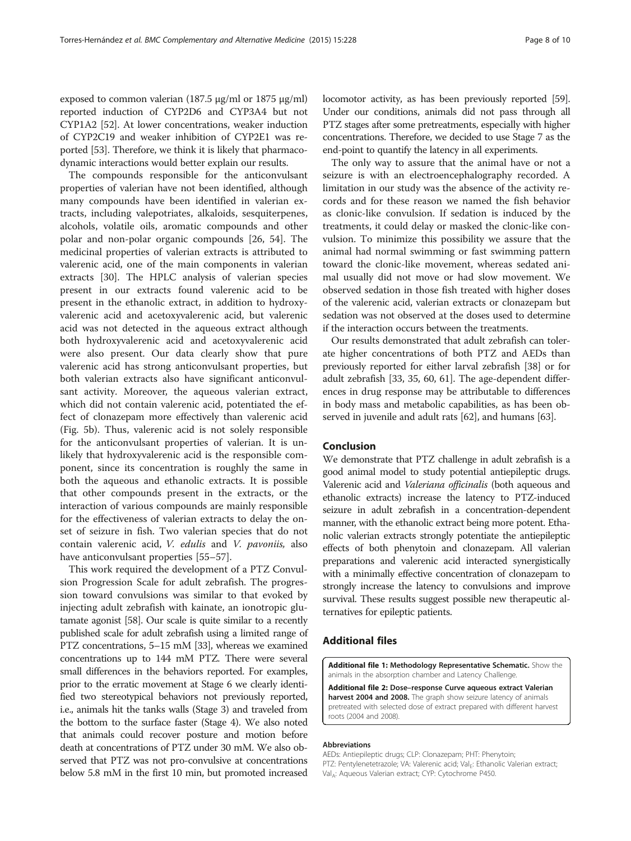<span id="page-7-0"></span>exposed to common valerian (187.5 μg/ml or 1875 μg/ml) reported induction of CYP2D6 and CYP3A4 but not CYP1A2 [\[52\]](#page-9-0). At lower concentrations, weaker induction of CYP2C19 and weaker inhibition of CYP2E1 was reported [[53](#page-9-0)]. Therefore, we think it is likely that pharmacodynamic interactions would better explain our results.

The compounds responsible for the anticonvulsant properties of valerian have not been identified, although many compounds have been identified in valerian extracts, including valepotriates, alkaloids, sesquiterpenes, alcohols, volatile oils, aromatic compounds and other polar and non-polar organic compounds [[26,](#page-8-0) [54](#page-9-0)]. The medicinal properties of valerian extracts is attributed to valerenic acid, one of the main components in valerian extracts [[30\]](#page-8-0). The HPLC analysis of valerian species present in our extracts found valerenic acid to be present in the ethanolic extract, in addition to hydroxyvalerenic acid and acetoxyvalerenic acid, but valerenic acid was not detected in the aqueous extract although both hydroxyvalerenic acid and acetoxyvalerenic acid were also present. Our data clearly show that pure valerenic acid has strong anticonvulsant properties, but both valerian extracts also have significant anticonvulsant activity. Moreover, the aqueous valerian extract, which did not contain valerenic acid, potentiated the effect of clonazepam more effectively than valerenic acid (Fig. [5b\)](#page-5-0). Thus, valerenic acid is not solely responsible for the anticonvulsant properties of valerian. It is unlikely that hydroxyvalerenic acid is the responsible component, since its concentration is roughly the same in both the aqueous and ethanolic extracts. It is possible that other compounds present in the extracts, or the interaction of various compounds are mainly responsible for the effectiveness of valerian extracts to delay the onset of seizure in fish. Two valerian species that do not contain valerenic acid, V. edulis and V. pavoniis, also have anticonvulsant properties [\[55](#page-9-0)–[57\]](#page-9-0).

This work required the development of a PTZ Convulsion Progression Scale for adult zebrafish. The progression toward convulsions was similar to that evoked by injecting adult zebrafish with kainate, an ionotropic glutamate agonist [\[58\]](#page-9-0). Our scale is quite similar to a recently published scale for adult zebrafish using a limited range of PTZ concentrations, 5–15 mM [[33\]](#page-8-0), whereas we examined concentrations up to 144 mM PTZ. There were several small differences in the behaviors reported. For examples, prior to the erratic movement at Stage 6 we clearly identified two stereotypical behaviors not previously reported, i.e., animals hit the tanks walls (Stage 3) and traveled from the bottom to the surface faster (Stage 4). We also noted that animals could recover posture and motion before death at concentrations of PTZ under 30 mM. We also observed that PTZ was not pro-convulsive at concentrations below 5.8 mM in the first 10 min, but promoted increased

locomotor activity, as has been previously reported [\[59](#page-9-0)]. Under our conditions, animals did not pass through all PTZ stages after some pretreatments, especially with higher concentrations. Therefore, we decided to use Stage 7 as the end-point to quantify the latency in all experiments.

The only way to assure that the animal have or not a seizure is with an electroencephalography recorded. A limitation in our study was the absence of the activity records and for these reason we named the fish behavior as clonic-like convulsion. If sedation is induced by the treatments, it could delay or masked the clonic-like convulsion. To minimize this possibility we assure that the animal had normal swimming or fast swimming pattern toward the clonic-like movement, whereas sedated animal usually did not move or had slow movement. We observed sedation in those fish treated with higher doses of the valerenic acid, valerian extracts or clonazepam but sedation was not observed at the doses used to determine if the interaction occurs between the treatments.

Our results demonstrated that adult zebrafish can tolerate higher concentrations of both PTZ and AEDs than previously reported for either larval zebrafish [\[38\]](#page-8-0) or for adult zebrafish [\[33, 35,](#page-8-0) [60, 61\]](#page-9-0). The age-dependent differences in drug response may be attributable to differences in body mass and metabolic capabilities, as has been observed in juvenile and adult rats [[62](#page-9-0)], and humans [\[63\]](#page-9-0).

# Conclusion

We demonstrate that PTZ challenge in adult zebrafish is a good animal model to study potential antiepileptic drugs. Valerenic acid and *Valeriana officinalis* (both aqueous and ethanolic extracts) increase the latency to PTZ-induced seizure in adult zebrafish in a concentration-dependent manner, with the ethanolic extract being more potent. Ethanolic valerian extracts strongly potentiate the antiepileptic effects of both phenytoin and clonazepam. All valerian preparations and valerenic acid interacted synergistically with a minimally effective concentration of clonazepam to strongly increase the latency to convulsions and improve survival. These results suggest possible new therapeutic alternatives for epileptic patients.

### Additional files

[Additional file 1:](http://www.biomedcentral.com/content/supplementary/s12906-015-0731-3-s1.pdf) Methodology Representative Schematic. Show the animals in the absorption chamber and Latency Challenge.

[Additional file 2:](http://www.biomedcentral.com/content/supplementary/s12906-015-0731-3-s2.tiff) Dose–response Curve aqueous extract Valerian harvest 2004 and 2008. The graph show seizure latency of animals pretreated with selected dose of extract prepared with different harvest roots (2004 and 2008).

#### Abbreviations

AEDs: Antiepileptic drugs; CLP: Clonazepam; PHT: Phenytoin; PTZ: Pentylenetetrazole; VA: Valerenic acid; Val<sub>E</sub>: Ethanolic Valerian extract; Val<sub>A</sub>: Aqueous Valerian extract; CYP: Cytochrome P450.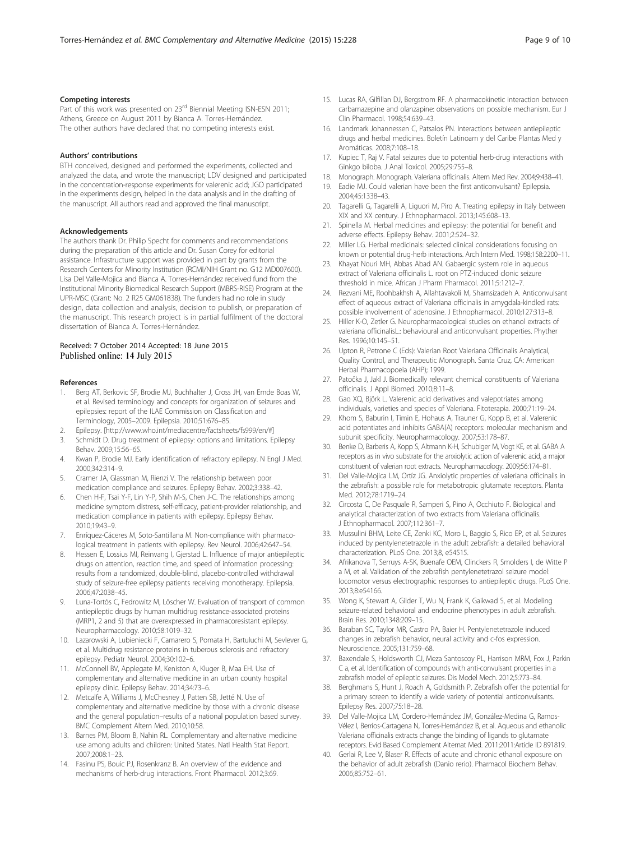#### <span id="page-8-0"></span>Competing interests

Part of this work was presented on 23<sup>rd</sup> Biennial Meeting ISN-ESN 2011; Athens, Greece on August 2011 by Bianca A. Torres-Hernández. The other authors have declared that no competing interests exist.

Authors' contributions

BTH conceived, designed and performed the experiments, collected and analyzed the data, and wrote the manuscript; LDV designed and participated in the concentration-response experiments for valerenic acid; JGO participated in the experiments design, helped in the data analysis and in the drafting of the manuscript. All authors read and approved the final manuscript.

#### Acknowledgements

The authors thank Dr. Philip Specht for comments and recommendations during the preparation of this article and Dr. Susan Corey for editorial assistance. Infrastructure support was provided in part by grants from the Research Centers for Minority Institution (RCMI/NIH Grant no. G12 MD007600). Lisa Del Valle-Mojica and Bianca A. Torres-Hernández received fund from the Institutional Minority Biomedical Research Support (MBRS-RISE) Program at the UPR-MSC (Grant: No. 2 R25 GM061838). The funders had no role in study design, data collection and analysis, decision to publish, or preparation of the manuscript. This research project is in partial fulfilment of the doctoral dissertation of Bianca A. Torres-Hernández.

### Received: 7 October 2014 Accepted: 18 June 2015 Published online: 14 July 2015

#### References

- Berg AT, Berkovic SF, Brodie MJ, Buchhalter J, Cross JH, van Emde Boas W, et al. Revised terminology and concepts for organization of seizures and epilepsies: report of the ILAE Commission on Classification and Terminology, 2005–2009. Epilepsia. 2010;51:676–85.
- 2. Epilepsy. [<http://www.who.int/mediacentre/factsheets/fs999/en/#>]
- 3. Schmidt D. Drug treatment of epilepsy: options and limitations. Epilepsy Behav. 2009;15:56–65.
- 4. Kwan P, Brodie MJ. Early identification of refractory epilepsy. N Engl J Med. 2000;342:314–9.
- 5. Cramer JA, Glassman M, Rienzi V. The relationship between poor medication compliance and seizures. Epilepsy Behav. 2002;3:338–42.
- 6. Chen H-F, Tsai Y-F, Lin Y-P, Shih M-S, Chen J-C. The relationships among medicine symptom distress, self-efficacy, patient-provider relationship, and medication compliance in patients with epilepsy. Epilepsy Behav. 2010;19:43–9.
- 7. Enríquez-Cáceres M, Soto-Santillana M. Non-compliance with pharmacological treatment in patients with epilepsy. Rev Neurol. 2006;42:647–54.
- Hessen E, Lossius MI, Reinvang I, Gjerstad L. Influence of major antiepileptic drugs on attention, reaction time, and speed of information processing: results from a randomized, double-blind, placebo-controlled withdrawal study of seizure-free epilepsy patients receiving monotherapy. Epilepsia. 2006;47:2038–45.
- 9. Luna-Tortós C, Fedrowitz M, Löscher W. Evaluation of transport of common antiepileptic drugs by human multidrug resistance-associated proteins (MRP1, 2 and 5) that are overexpressed in pharmacoresistant epilepsy. Neuropharmacology. 2010;58:1019–32.
- 10. Lazarowski A, Lubieniecki F, Camarero S, Pomata H, Bartuluchi M, Sevlever G, et al. Multidrug resistance proteins in tuberous sclerosis and refractory epilepsy. Pediatr Neurol. 2004;30:102–6.
- 11. McConnell BV, Applegate M, Keniston A, Kluger B, Maa EH. Use of complementary and alternative medicine in an urban county hospital epilepsy clinic. Epilepsy Behav. 2014;34:73–6.
- 12. Metcalfe A, Williams J, McChesney J, Patten SB, Jetté N. Use of complementary and alternative medicine by those with a chronic disease and the general population–results of a national population based survey. BMC Complement Altern Med. 2010;10:58.
- 13. Barnes PM, Bloom B, Nahin RL. Complementary and alternative medicine use among adults and children: United States. Natl Health Stat Report. 2007;2008:1–23.
- 14. Fasinu PS, Bouic PJ, Rosenkranz B. An overview of the evidence and mechanisms of herb-drug interactions. Front Pharmacol. 2012;3:69.
- 15. Lucas RA, Gilfillan DJ, Bergstrom RF. A pharmacokinetic interaction between carbamazepine and olanzapine: observations on possible mechanism. Eur J Clin Pharmacol. 1998;54:639–43.
- 16. Landmark Johannessen C, Patsalos PN. Interactions between antiepileptic drugs and herbal medicines. Boletín Latinoam y del Caribe Plantas Med y Aromáticas. 2008;7:108–18.
- 17. Kupiec T, Raj V. Fatal seizures due to potential herb-drug interactions with Ginkgo biloba. J Anal Toxicol. 2005;29:755–8.
- 18. Monograph. Monograph. Valeriana officinalis. Altern Med Rev. 2004;9:438–41.
- 19. Eadie MJ. Could valerian have been the first anticonvulsant? Epilepsia. 2004;45:1338–43.
- 20. Tagarelli G, Tagarelli A, Liguori M, Piro A. Treating epilepsy in Italy between XIX and XX century. J Ethnopharmacol. 2013;145:608–13.
- 21. Spinella M. Herbal medicines and epilepsy: the potential for benefit and adverse effects. Epilepsy Behav. 2001;2:524–32.
- 22. Miller LG. Herbal medicinals: selected clinical considerations focusing on known or potential drug-herb interactions. Arch Intern Med. 1998;158:2200–11.
- 23. Khayat Nouri MH, Abbas Abad AN. Gabaergic system role in aqueous extract of Valeriana officinalis L. root on PTZ-induced clonic seizure threshold in mice. African J Pharm Pharmacol. 2011;5:1212–7.
- 24. Rezvani ME, Roohbakhsh A, Allahtavakoli M, Shamsizadeh A. Anticonvulsant effect of aqueous extract of Valeriana officinalis in amygdala-kindled rats: possible involvement of adenosine. J Ethnopharmacol. 2010;127:313–8.
- 25. Hiller K-O, Zetler G. Neuropharmacological studies on ethanol extracts of valeriana officinalisL.: behavioural and anticonvulsant properties. Phyther Res. 1996;10:145–51.
- 26. Upton R, Petrone C (Eds): Valerian Root Valeriana Officinalis Analytical, Quality Control, and Therapeutic Monograph. Santa Cruz, CA: American Herbal Pharmacopoeia (AHP); 1999.
- 27. Patočka J, Jakl J. Biomedically relevant chemical constituents of Valeriana officinalis. J Appl Biomed. 2010;8:11–8.
- 28. Gao XQ, Björk L. Valerenic acid derivatives and valepotriates among individuals, varieties and species of Valeriana. Fitoterapia. 2000;71:19–24.
- 29. Khom S, Baburin I, Timin E, Hohaus A, Trauner G, Kopp B, et al. Valerenic acid potentiates and inhibits GABA(A) receptors: molecular mechanism and subunit specificity. Neuropharmacology. 2007;53:178–87.
- 30. Benke D, Barberis A, Kopp S, Altmann K-H, Schubiger M, Vogt KE, et al. GABA A receptors as in vivo substrate for the anxiolytic action of valerenic acid, a major constituent of valerian root extracts. Neuropharmacology. 2009;56:174–81.
- 31. Del Valle-Mojica LM, Ortíz JG. Anxiolytic properties of valeriana officinalis in the zebrafish: a possible role for metabotropic glutamate receptors. Planta Med. 2012;78:1719–24.
- 32. Circosta C, De Pasquale R, Samperi S, Pino A, Occhiuto F. Biological and analytical characterization of two extracts from Valeriana officinalis. J Ethnopharmacol. 2007;112:361–7.
- 33. Mussulini BHM, Leite CE, Zenki KC, Moro L, Baggio S, Rico EP, et al. Seizures induced by pentylenetetrazole in the adult zebrafish: a detailed behavioral characterization. PLoS One. 2013;8, e54515.
- 34. Afrikanova T, Serruys A-SK, Buenafe OEM, Clinckers R, Smolders I, de Witte P a M, et al. Validation of the zebrafish pentylenetetrazol seizure model: locomotor versus electrographic responses to antiepileptic drugs. PLoS One. 2013;8:e54166.
- 35. Wong K, Stewart A, Gilder T, Wu N, Frank K, Gaikwad S, et al. Modeling seizure-related behavioral and endocrine phenotypes in adult zebrafish. Brain Res. 2010;1348:209–15.
- 36. Baraban SC, Taylor MR, Castro PA, Baier H. Pentylenetetrazole induced changes in zebrafish behavior, neural activity and c-fos expression. Neuroscience. 2005;131:759–68.
- 37. Baxendale S, Holdsworth CJ, Meza Santoscoy PL, Harrison MRM, Fox J, Parkin C a, et al. Identification of compounds with anti-convulsant properties in a zebrafish model of epileptic seizures. Dis Model Mech. 2012;5:773–84.
- 38. Berghmans S, Hunt J, Roach A, Goldsmith P. Zebrafish offer the potential for a primary screen to identify a wide variety of potential anticonvulsants. Epilepsy Res. 2007;75:18–28.
- 39. Del Valle-Mojica LM, Cordero-Hernández JM, González-Medina G, Ramos-Vélez I, Berríos-Cartagena N, Torres-Hernández B, et al. Aqueous and ethanolic Valeriana officinalis extracts change the binding of ligands to glutamate receptors. Evid Based Complement Alternat Med. 2011;2011:Article ID 891819.
- 40. Gerlai R, Lee V, Blaser R. Effects of acute and chronic ethanol exposure on the behavior of adult zebrafish (Danio rerio). Pharmacol Biochem Behav. 2006;85:752–61.